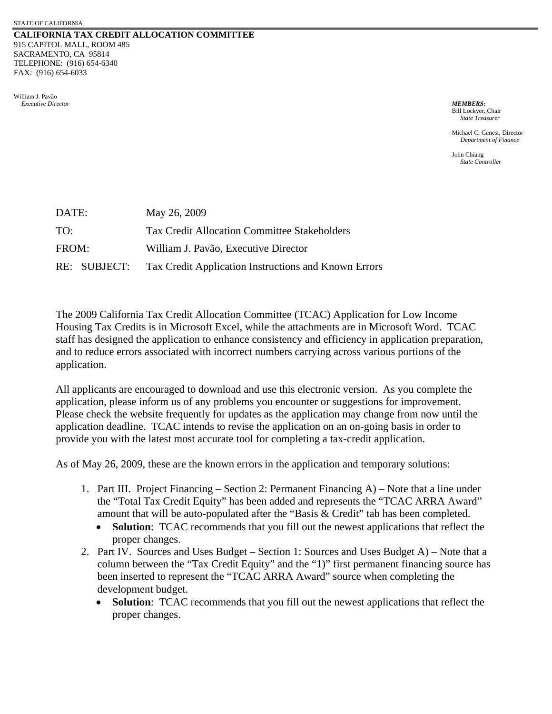## **CALIFORNIA TAX CREDIT ALLOCATION COMMITTEE** 915 CAPITOL MALL, ROOM 485 SACRAMENTO, CA 95814 TELEPHONE: (916) 654-6340 FAX: (916) 654-6033

William J. Pavão  *Executive Director MEMBERS***:**

Bill Lockyer, Chair *State Treasurer*

Michael C. Genest, Director *Department of Finance* 

John Chiang *State Controller*

| DATE: | May 26, 2009                                                      |
|-------|-------------------------------------------------------------------|
| TO:   | <b>Tax Credit Allocation Committee Stakeholders</b>               |
| FROM: | William J. Pavão, Executive Director                              |
|       | RE: SUBJECT: Tax Credit Application Instructions and Known Errors |

The 2009 California Tax Credit Allocation Committee (TCAC) Application for Low Income Housing Tax Credits is in Microsoft Excel, while the attachments are in Microsoft Word. TCAC staff has designed the application to enhance consistency and efficiency in application preparation, and to reduce errors associated with incorrect numbers carrying across various portions of the application.

All applicants are encouraged to download and use this electronic version. As you complete the application, please inform us of any problems you encounter or suggestions for improvement. Please check the website frequently for updates as the application may change from now until the application deadline. TCAC intends to revise the application on an on-going basis in order to provide you with the latest most accurate tool for completing a tax-credit application.

As of May 26, 2009, these are the known errors in the application and temporary solutions:

- 1. Part III. Project Financing Section 2: Permanent Financing A) Note that a line under the "Total Tax Credit Equity" has been added and represents the "TCAC ARRA Award" amount that will be auto-populated after the "Basis & Credit" tab has been completed.
	- **Solution**: TCAC recommends that you fill out the newest applications that reflect the proper changes.
- 2. Part IV. Sources and Uses Budget Section 1: Sources and Uses Budget A) Note that a column between the "Tax Credit Equity" and the "1)" first permanent financing source has been inserted to represent the "TCAC ARRA Award" source when completing the development budget.
	- **Solution**: TCAC recommends that you fill out the newest applications that reflect the proper changes.